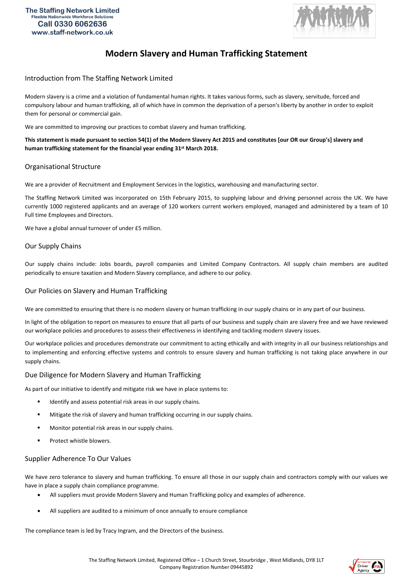

# **Modern Slavery and Human Trafficking Statement**

### Introduction from The Staffing Network Limited

Modern slavery is a crime and a violation of fundamental human rights. It takes various forms, such as slavery, servitude, forced and compulsory labour and human trafficking, all of which have in common the deprivation of a person's liberty by another in order to exploit them for personal or commercial gain.

We are committed to improving our practices to combat slavery and human trafficking.

**This statement is made pursuant to section 54(1) of the Modern Slavery Act 2015 and constitutes [our OR our Group's] slavery and human trafficking statement for the financial year ending 31st March 2018.**

## Organisational Structure

We are a provider of Recruitment and Employment Services in the logistics, warehousing and manufacturing sector.

The Staffing Network Limited was incorporated on 15th February 2015, to supplying labour and driving personnel across the UK. We have currently 1000 registered applicants and an average of 120 workers current workers employed, managed and administered by a team of 10 Full time Employees and Directors.

We have a global annual turnover of under £5 million.

#### Our Supply Chains

Our supply chains include: Jobs boards, payroll companies and Limited Company Contractors. All supply chain members are audited periodically to ensure taxation and Modern Slavery compliance, and adhere to our policy.

#### Our Policies on Slavery and Human Trafficking

We are committed to ensuring that there is no modern slavery or human trafficking in our supply chains or in any part of our business.

In light of the obligation to report on measures to ensure that all parts of our business and supply chain are slavery free and we have reviewed our workplace policies and procedures to assess their effectiveness in identifying and tackling modern slavery issues.

Our workplace policies and procedures demonstrate our commitment to acting ethically and with integrity in all our business relationships and to implementing and enforcing effective systems and controls to ensure slavery and human trafficking is not taking place anywhere in our supply chains.

## Due Diligence for Modern Slavery and Human Trafficking

As part of our initiative to identify and mitigate risk we have in place systems to:

- Identify and assess potential risk areas in our supply chains.
- Mitigate the risk of slavery and human trafficking occurring in our supply chains.
- Monitor potential risk areas in our supply chains.
- Protect whistle blowers.

#### Supplier Adherence To Our Values

We have zero tolerance to slavery and human trafficking. To ensure all those in our supply chain and contractors comply with our values we have in place a supply chain compliance programme.

- All suppliers must provide Modern Slavery and Human Trafficking policy and examples of adherence.
- All suppliers are audited to a minimum of once annually to ensure compliance

The compliance team is led by Tracy Ingram, and the Directors of the business.